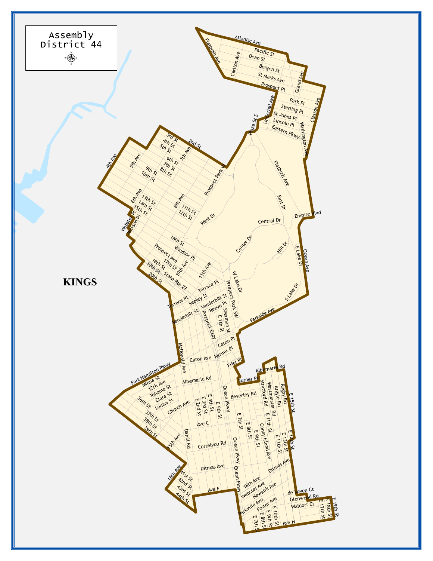